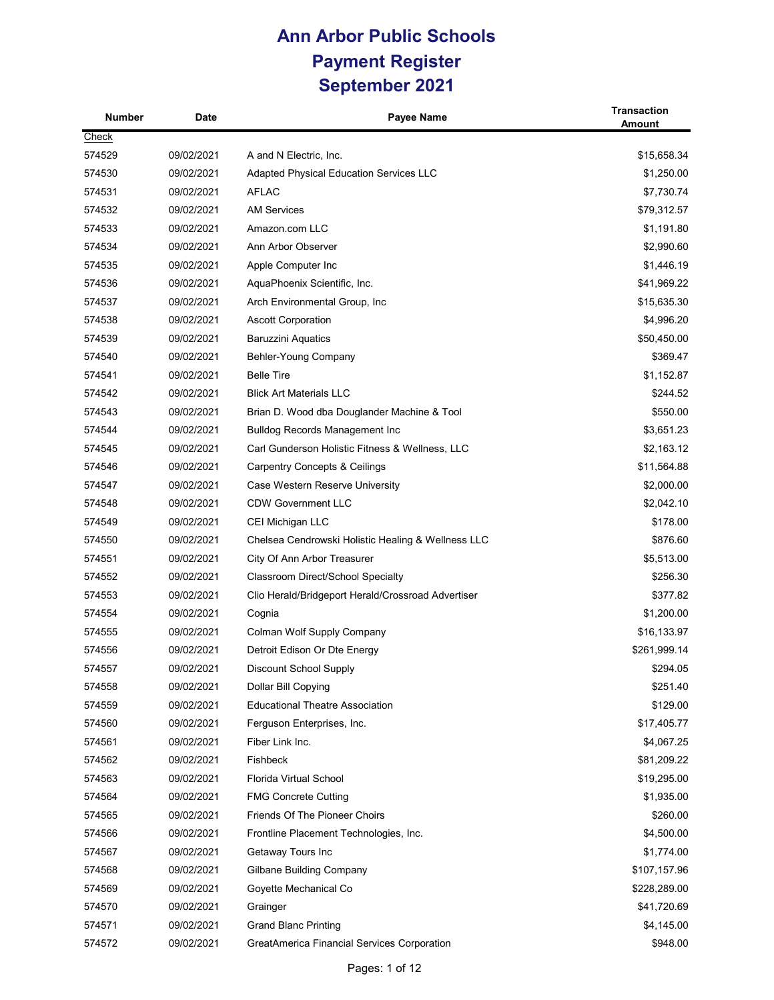| Number | Date       | Payee Name                                         | <b>Transaction</b><br><b>Amount</b> |
|--------|------------|----------------------------------------------------|-------------------------------------|
| Check  |            |                                                    |                                     |
| 574529 | 09/02/2021 | A and N Electric, Inc.                             | \$15,658.34                         |
| 574530 | 09/02/2021 | <b>Adapted Physical Education Services LLC</b>     | \$1,250.00                          |
| 574531 | 09/02/2021 | <b>AFLAC</b>                                       | \$7,730.74                          |
| 574532 | 09/02/2021 | <b>AM Services</b>                                 | \$79,312.57                         |
| 574533 | 09/02/2021 | Amazon.com LLC                                     | \$1,191.80                          |
| 574534 | 09/02/2021 | Ann Arbor Observer                                 | \$2,990.60                          |
| 574535 | 09/02/2021 | Apple Computer Inc                                 | \$1,446.19                          |
| 574536 | 09/02/2021 | AquaPhoenix Scientific, Inc.                       | \$41,969.22                         |
| 574537 | 09/02/2021 | Arch Environmental Group, Inc.                     | \$15,635.30                         |
| 574538 | 09/02/2021 | <b>Ascott Corporation</b>                          | \$4,996.20                          |
| 574539 | 09/02/2021 | <b>Baruzzini Aquatics</b>                          | \$50,450.00                         |
| 574540 | 09/02/2021 | Behler-Young Company                               | \$369.47                            |
| 574541 | 09/02/2021 | <b>Belle Tire</b>                                  | \$1,152.87                          |
| 574542 | 09/02/2021 | <b>Blick Art Materials LLC</b>                     | \$244.52                            |
| 574543 | 09/02/2021 | Brian D. Wood dba Douglander Machine & Tool        | \$550.00                            |
| 574544 | 09/02/2021 | <b>Bulldog Records Management Inc</b>              | \$3,651.23                          |
| 574545 | 09/02/2021 | Carl Gunderson Holistic Fitness & Wellness, LLC    | \$2,163.12                          |
| 574546 | 09/02/2021 | Carpentry Concepts & Ceilings                      | \$11,564.88                         |
| 574547 | 09/02/2021 | Case Western Reserve University                    | \$2,000.00                          |
| 574548 | 09/02/2021 | <b>CDW Government LLC</b>                          | \$2,042.10                          |
| 574549 | 09/02/2021 | CEI Michigan LLC                                   | \$178.00                            |
| 574550 | 09/02/2021 | Chelsea Cendrowski Holistic Healing & Wellness LLC | \$876.60                            |
| 574551 | 09/02/2021 | City Of Ann Arbor Treasurer                        | \$5,513.00                          |
| 574552 | 09/02/2021 | Classroom Direct/School Specialty                  | \$256.30                            |
| 574553 | 09/02/2021 | Clio Herald/Bridgeport Herald/Crossroad Advertiser | \$377.82                            |
| 574554 | 09/02/2021 | Cognia                                             | \$1,200.00                          |
| 574555 | 09/02/2021 | Colman Wolf Supply Company                         | \$16,133.97                         |
| 574556 | 09/02/2021 | Detroit Edison Or Dte Energy                       | \$261,999.14                        |
| 574557 | 09/02/2021 | Discount School Supply                             | \$294.05                            |
| 574558 | 09/02/2021 | Dollar Bill Copying                                | \$251.40                            |
| 574559 | 09/02/2021 | <b>Educational Theatre Association</b>             | \$129.00                            |
| 574560 | 09/02/2021 | Ferguson Enterprises, Inc.                         | \$17,405.77                         |
| 574561 | 09/02/2021 | Fiber Link Inc.                                    | \$4,067.25                          |
| 574562 | 09/02/2021 | Fishbeck                                           | \$81,209.22                         |
| 574563 | 09/02/2021 | Florida Virtual School                             | \$19,295.00                         |
| 574564 | 09/02/2021 | <b>FMG Concrete Cutting</b>                        | \$1,935.00                          |
| 574565 | 09/02/2021 | Friends Of The Pioneer Choirs                      | \$260.00                            |
| 574566 | 09/02/2021 | Frontline Placement Technologies, Inc.             | \$4,500.00                          |
| 574567 | 09/02/2021 | Getaway Tours Inc                                  | \$1,774.00                          |
| 574568 | 09/02/2021 | Gilbane Building Company                           | \$107,157.96                        |
| 574569 | 09/02/2021 | Goyette Mechanical Co                              | \$228,289.00                        |
| 574570 | 09/02/2021 | Grainger                                           | \$41,720.69                         |
| 574571 | 09/02/2021 | <b>Grand Blanc Printing</b>                        | \$4,145.00                          |
| 574572 | 09/02/2021 | <b>GreatAmerica Financial Services Corporation</b> | \$948.00                            |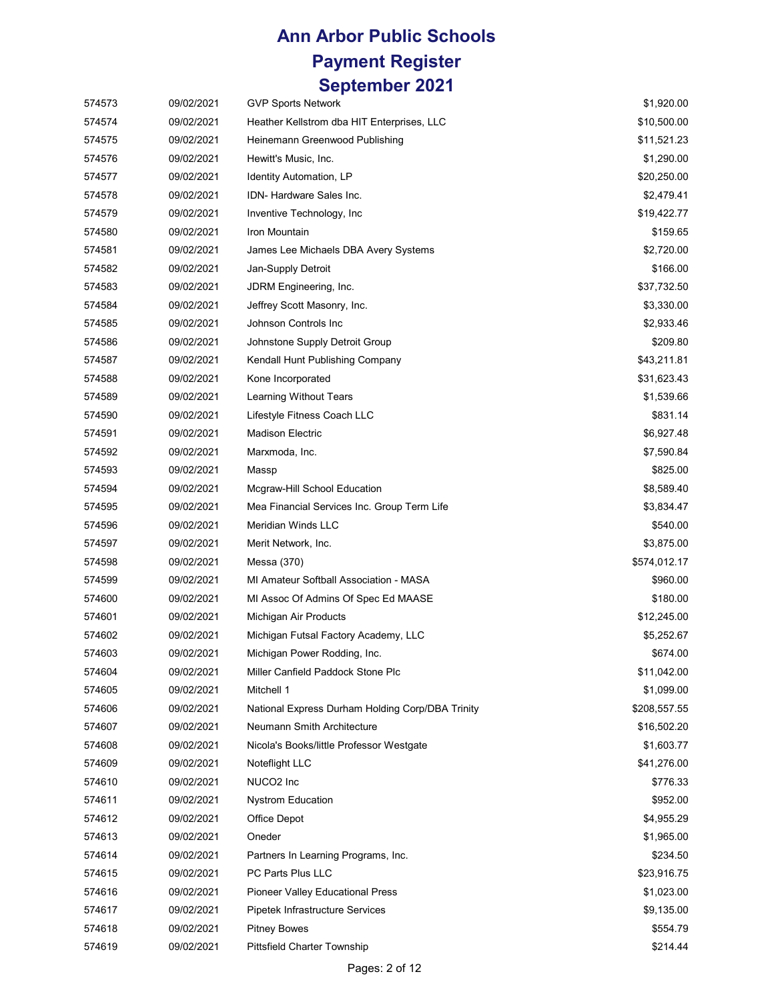| 574573 | 09/02/2021 | <b>GVP Sports Network</b>                        | \$1,920.00   |
|--------|------------|--------------------------------------------------|--------------|
| 574574 | 09/02/2021 | Heather Kellstrom dba HIT Enterprises, LLC       | \$10,500.00  |
| 574575 | 09/02/2021 | Heinemann Greenwood Publishing                   | \$11,521.23  |
| 574576 | 09/02/2021 | Hewitt's Music, Inc.                             | \$1,290.00   |
| 574577 | 09/02/2021 | Identity Automation, LP                          | \$20,250.00  |
| 574578 | 09/02/2021 | IDN- Hardware Sales Inc.                         | \$2,479.41   |
| 574579 | 09/02/2021 | Inventive Technology, Inc.                       | \$19,422.77  |
| 574580 | 09/02/2021 | Iron Mountain                                    | \$159.65     |
| 574581 | 09/02/2021 | James Lee Michaels DBA Avery Systems             | \$2,720.00   |
| 574582 | 09/02/2021 | Jan-Supply Detroit                               | \$166.00     |
| 574583 | 09/02/2021 | JDRM Engineering, Inc.                           | \$37,732.50  |
| 574584 | 09/02/2021 | Jeffrey Scott Masonry, Inc.                      | \$3,330.00   |
| 574585 | 09/02/2021 | Johnson Controls Inc                             | \$2,933.46   |
| 574586 | 09/02/2021 | Johnstone Supply Detroit Group                   | \$209.80     |
| 574587 | 09/02/2021 | Kendall Hunt Publishing Company                  | \$43,211.81  |
| 574588 | 09/02/2021 | Kone Incorporated                                | \$31,623.43  |
| 574589 | 09/02/2021 | Learning Without Tears                           | \$1,539.66   |
| 574590 | 09/02/2021 | Lifestyle Fitness Coach LLC                      | \$831.14     |
| 574591 | 09/02/2021 | <b>Madison Electric</b>                          | \$6,927.48   |
| 574592 | 09/02/2021 | Marxmoda, Inc.                                   | \$7,590.84   |
| 574593 | 09/02/2021 | Massp                                            | \$825.00     |
| 574594 | 09/02/2021 | Mcgraw-Hill School Education                     | \$8,589.40   |
| 574595 | 09/02/2021 | Mea Financial Services Inc. Group Term Life      | \$3,834.47   |
| 574596 | 09/02/2021 | <b>Meridian Winds LLC</b>                        | \$540.00     |
| 574597 | 09/02/2021 | Merit Network, Inc.                              | \$3,875.00   |
| 574598 | 09/02/2021 | Messa (370)                                      | \$574,012.17 |
| 574599 | 09/02/2021 | MI Amateur Softball Association - MASA           | \$960.00     |
| 574600 | 09/02/2021 | MI Assoc Of Admins Of Spec Ed MAASE              | \$180.00     |
| 574601 | 09/02/2021 | Michigan Air Products                            | \$12,245.00  |
| 574602 | 09/02/2021 | Michigan Futsal Factory Academy, LLC             | \$5,252.67   |
| 574603 | 09/02/2021 | Michigan Power Rodding, Inc.                     | \$674.00     |
| 574604 | 09/02/2021 | Miller Canfield Paddock Stone Plc                | \$11,042.00  |
| 574605 | 09/02/2021 | Mitchell 1                                       | \$1,099.00   |
| 574606 | 09/02/2021 | National Express Durham Holding Corp/DBA Trinity | \$208,557.55 |
| 574607 | 09/02/2021 | Neumann Smith Architecture                       | \$16,502.20  |
| 574608 | 09/02/2021 | Nicola's Books/little Professor Westgate         | \$1,603.77   |
| 574609 | 09/02/2021 | Noteflight LLC                                   | \$41,276.00  |
| 574610 | 09/02/2021 | NUCO2 Inc                                        | \$776.33     |
| 574611 | 09/02/2021 | <b>Nystrom Education</b>                         | \$952.00     |
| 574612 | 09/02/2021 | Office Depot                                     | \$4,955.29   |
| 574613 | 09/02/2021 | Oneder                                           | \$1,965.00   |
| 574614 | 09/02/2021 | Partners In Learning Programs, Inc.              | \$234.50     |
| 574615 | 09/02/2021 | PC Parts Plus LLC                                | \$23,916.75  |
| 574616 | 09/02/2021 | <b>Pioneer Valley Educational Press</b>          | \$1,023.00   |
| 574617 | 09/02/2021 | Pipetek Infrastructure Services                  | \$9,135.00   |
| 574618 | 09/02/2021 | <b>Pitney Bowes</b>                              | \$554.79     |
| 574619 | 09/02/2021 | Pittsfield Charter Township                      | \$214.44     |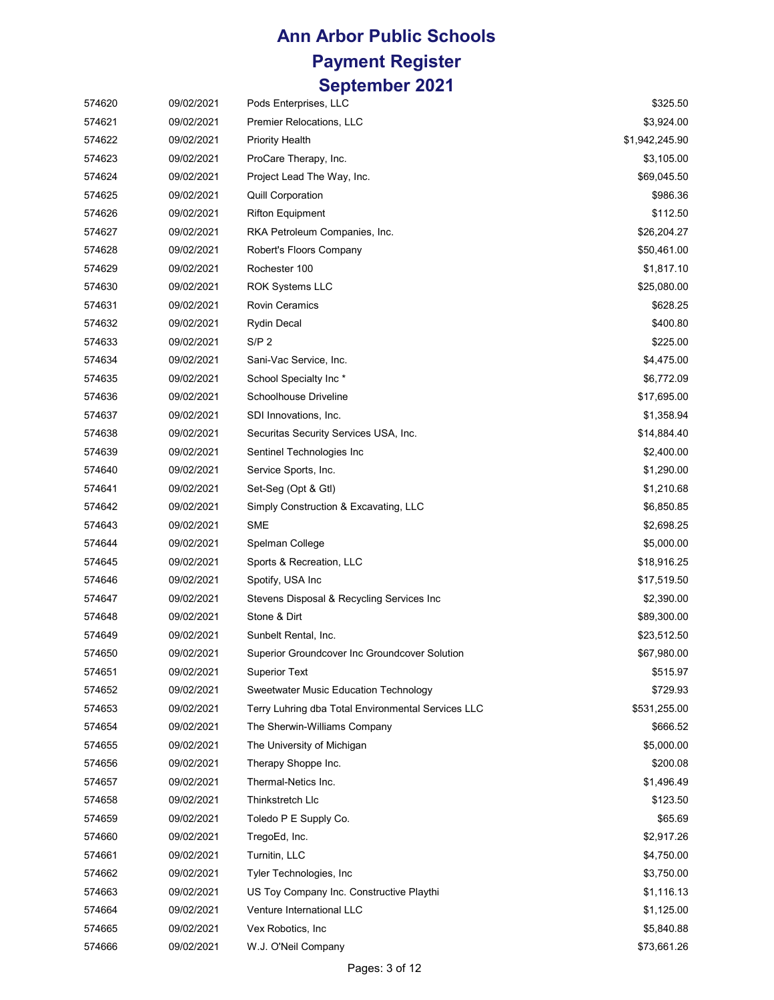| 574620 | 09/02/2021 | Pods Enterprises, LLC                              | \$325.50       |
|--------|------------|----------------------------------------------------|----------------|
| 574621 | 09/02/2021 | Premier Relocations, LLC                           | \$3,924.00     |
| 574622 | 09/02/2021 | <b>Priority Health</b>                             | \$1,942,245.90 |
| 574623 | 09/02/2021 | ProCare Therapy, Inc.                              | \$3,105.00     |
| 574624 | 09/02/2021 | Project Lead The Way, Inc.                         | \$69,045.50    |
| 574625 | 09/02/2021 | <b>Quill Corporation</b>                           | \$986.36       |
| 574626 | 09/02/2021 | <b>Rifton Equipment</b>                            | \$112.50       |
| 574627 | 09/02/2021 | RKA Petroleum Companies, Inc.                      | \$26,204.27    |
| 574628 | 09/02/2021 | Robert's Floors Company                            | \$50,461.00    |
| 574629 | 09/02/2021 | Rochester 100                                      | \$1,817.10     |
| 574630 | 09/02/2021 | <b>ROK Systems LLC</b>                             | \$25,080.00    |
| 574631 | 09/02/2021 | <b>Rovin Ceramics</b>                              | \$628.25       |
| 574632 | 09/02/2021 | <b>Rydin Decal</b>                                 | \$400.80       |
| 574633 | 09/02/2021 | S/P <sub>2</sub>                                   | \$225.00       |
| 574634 | 09/02/2021 | Sani-Vac Service, Inc.                             | \$4,475.00     |
| 574635 | 09/02/2021 | School Specialty Inc*                              | \$6,772.09     |
| 574636 | 09/02/2021 | Schoolhouse Driveline                              | \$17,695.00    |
| 574637 | 09/02/2021 | SDI Innovations, Inc.                              | \$1,358.94     |
| 574638 | 09/02/2021 | Securitas Security Services USA, Inc.              | \$14,884.40    |
| 574639 | 09/02/2021 | Sentinel Technologies Inc                          | \$2,400.00     |
| 574640 | 09/02/2021 | Service Sports, Inc.                               | \$1,290.00     |
| 574641 | 09/02/2021 | Set-Seg (Opt & Gtl)                                | \$1,210.68     |
| 574642 | 09/02/2021 | Simply Construction & Excavating, LLC              | \$6,850.85     |
| 574643 | 09/02/2021 | <b>SME</b>                                         | \$2,698.25     |
| 574644 | 09/02/2021 | Spelman College                                    | \$5,000.00     |
| 574645 | 09/02/2021 | Sports & Recreation, LLC                           | \$18,916.25    |
| 574646 | 09/02/2021 | Spotify, USA Inc.                                  | \$17,519.50    |
| 574647 | 09/02/2021 | Stevens Disposal & Recycling Services Inc          | \$2,390.00     |
| 574648 | 09/02/2021 | Stone & Dirt                                       | \$89,300.00    |
| 574649 | 09/02/2021 | Sunbelt Rental, Inc.                               | \$23,512.50    |
| 574650 | 09/02/2021 | Superior Groundcover Inc Groundcover Solution      | \$67,980.00    |
| 574651 | 09/02/2021 | <b>Superior Text</b>                               | \$515.97       |
| 574652 | 09/02/2021 | <b>Sweetwater Music Education Technology</b>       | \$729.93       |
| 574653 | 09/02/2021 | Terry Luhring dba Total Environmental Services LLC | \$531,255.00   |
| 574654 | 09/02/2021 | The Sherwin-Williams Company                       | \$666.52       |
| 574655 | 09/02/2021 | The University of Michigan                         | \$5,000.00     |
| 574656 | 09/02/2021 | Therapy Shoppe Inc.                                | \$200.08       |
| 574657 | 09/02/2021 | Thermal-Netics Inc.                                | \$1,496.49     |
| 574658 | 09/02/2021 | Thinkstretch Llc                                   | \$123.50       |
| 574659 | 09/02/2021 | Toledo P E Supply Co.                              | \$65.69        |
| 574660 | 09/02/2021 | TregoEd, Inc.                                      | \$2,917.26     |
| 574661 | 09/02/2021 | Turnitin, LLC                                      | \$4,750.00     |
| 574662 | 09/02/2021 | Tyler Technologies, Inc.                           | \$3,750.00     |
| 574663 | 09/02/2021 | US Toy Company Inc. Constructive Playthi           | \$1,116.13     |
| 574664 | 09/02/2021 | Venture International LLC                          | \$1,125.00     |
| 574665 | 09/02/2021 | Vex Robotics, Inc.                                 | \$5,840.88     |
| 574666 | 09/02/2021 | W.J. O'Neil Company                                | \$73,661.26    |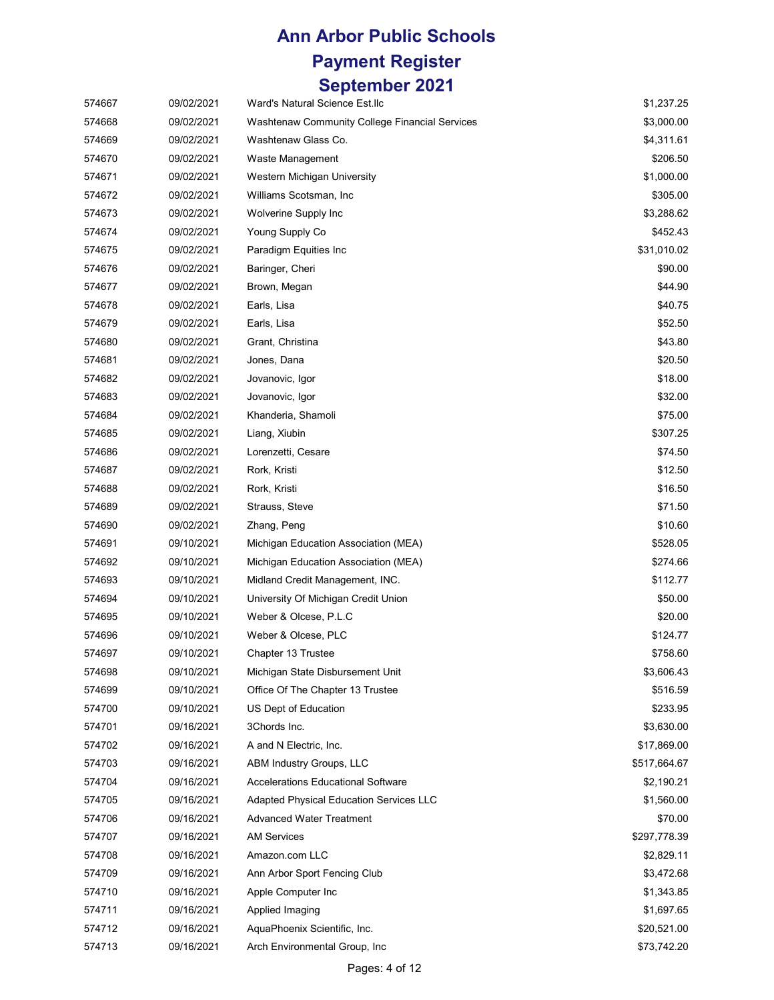# **Ann Arbor Public Schools Payment Register**

#### **September 2021**

| 574667 | 09/02/2021 | Ward's Natural Science Est.llc                 | \$1,237.25   |
|--------|------------|------------------------------------------------|--------------|
| 574668 | 09/02/2021 | Washtenaw Community College Financial Services | \$3,000.00   |
| 574669 | 09/02/2021 | Washtenaw Glass Co.                            | \$4,311.61   |
| 574670 | 09/02/2021 | Waste Management                               | \$206.50     |
| 574671 | 09/02/2021 | Western Michigan University                    | \$1,000.00   |
| 574672 | 09/02/2021 | Williams Scotsman, Inc.                        | \$305.00     |
| 574673 | 09/02/2021 | Wolverine Supply Inc                           | \$3,288.62   |
| 574674 | 09/02/2021 | Young Supply Co                                | \$452.43     |
| 574675 | 09/02/2021 | Paradigm Equities Inc                          | \$31,010.02  |
| 574676 | 09/02/2021 | Baringer, Cheri                                | \$90.00      |
| 574677 | 09/02/2021 | Brown, Megan                                   | \$44.90      |
| 574678 | 09/02/2021 | Earls, Lisa                                    | \$40.75      |
| 574679 | 09/02/2021 | Earls, Lisa                                    | \$52.50      |
| 574680 | 09/02/2021 | Grant, Christina                               | \$43.80      |
| 574681 | 09/02/2021 | Jones, Dana                                    | \$20.50      |
| 574682 | 09/02/2021 | Jovanovic, Igor                                | \$18.00      |
| 574683 | 09/02/2021 | Jovanovic, Igor                                | \$32.00      |
| 574684 | 09/02/2021 | Khanderia, Shamoli                             | \$75.00      |
| 574685 | 09/02/2021 | Liang, Xiubin                                  | \$307.25     |
| 574686 | 09/02/2021 | Lorenzetti, Cesare                             | \$74.50      |
| 574687 | 09/02/2021 | Rork, Kristi                                   | \$12.50      |
| 574688 | 09/02/2021 | Rork, Kristi                                   | \$16.50      |
| 574689 | 09/02/2021 | Strauss, Steve                                 | \$71.50      |
| 574690 | 09/02/2021 | Zhang, Peng                                    | \$10.60      |
| 574691 | 09/10/2021 | Michigan Education Association (MEA)           | \$528.05     |
| 574692 | 09/10/2021 | Michigan Education Association (MEA)           | \$274.66     |
| 574693 | 09/10/2021 | Midland Credit Management, INC.                | \$112.77     |
| 574694 | 09/10/2021 | University Of Michigan Credit Union            | \$50.00      |
| 574695 | 09/10/2021 | Weber & Olcese, P.L.C                          | \$20.00      |
| 574696 | 09/10/2021 | Weber & Olcese, PLC                            | \$124.77     |
| 574697 | 09/10/2021 | Chapter 13 Trustee                             | \$758.60     |
| 574698 | 09/10/2021 | Michigan State Disbursement Unit               | \$3,606.43   |
| 574699 | 09/10/2021 | Office Of The Chapter 13 Trustee               | \$516.59     |
| 574700 | 09/10/2021 | US Dept of Education                           | \$233.95     |
| 574701 | 09/16/2021 | 3Chords Inc.                                   | \$3,630.00   |
| 574702 | 09/16/2021 | A and N Electric, Inc.                         | \$17,869.00  |
| 574703 | 09/16/2021 | <b>ABM Industry Groups, LLC</b>                | \$517,664.67 |
| 574704 | 09/16/2021 | <b>Accelerations Educational Software</b>      | \$2,190.21   |
| 574705 | 09/16/2021 | Adapted Physical Education Services LLC        | \$1,560.00   |
| 574706 | 09/16/2021 | <b>Advanced Water Treatment</b>                | \$70.00      |
| 574707 | 09/16/2021 | <b>AM Services</b>                             | \$297,778.39 |
| 574708 | 09/16/2021 | Amazon.com LLC                                 | \$2,829.11   |
| 574709 | 09/16/2021 | Ann Arbor Sport Fencing Club                   | \$3,472.68   |
| 574710 | 09/16/2021 | Apple Computer Inc                             | \$1,343.85   |
| 574711 | 09/16/2021 | Applied Imaging                                | \$1,697.65   |
| 574712 | 09/16/2021 | AquaPhoenix Scientific, Inc.                   | \$20,521.00  |
| 574713 | 09/16/2021 | Arch Environmental Group, Inc.                 | \$73,742.20  |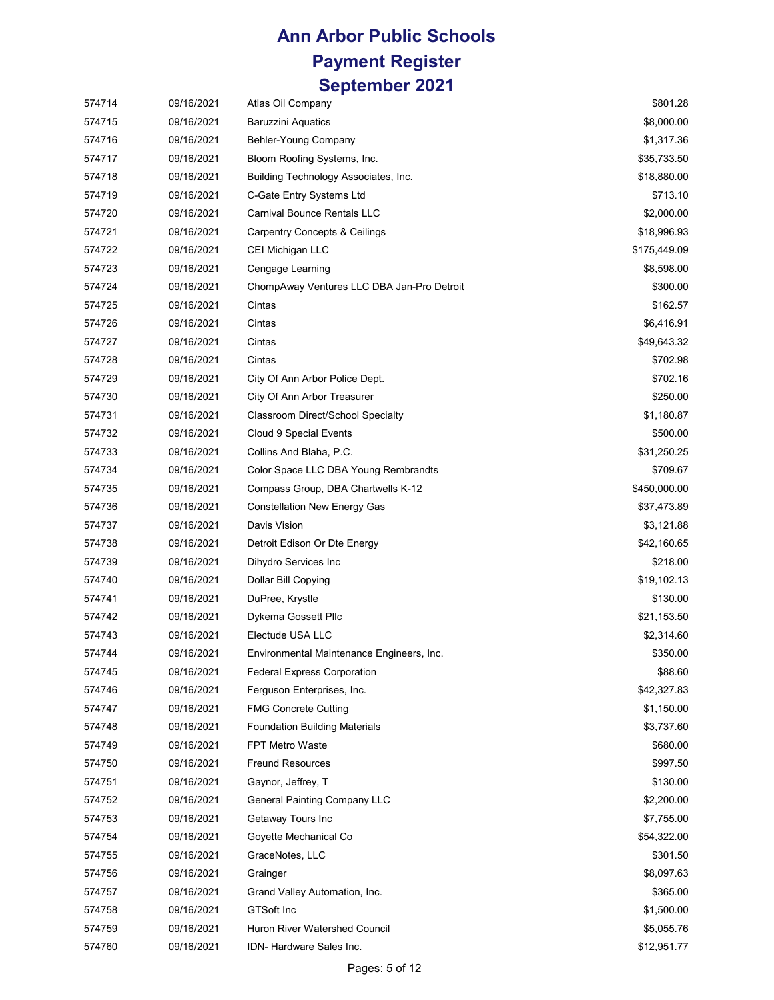| 574714 | 09/16/2021 | Atlas Oil Company                          | \$801.28     |
|--------|------------|--------------------------------------------|--------------|
| 574715 | 09/16/2021 | <b>Baruzzini Aquatics</b>                  | \$8,000.00   |
| 574716 | 09/16/2021 | Behler-Young Company                       | \$1,317.36   |
| 574717 | 09/16/2021 | Bloom Roofing Systems, Inc.                | \$35,733.50  |
| 574718 | 09/16/2021 | Building Technology Associates, Inc.       | \$18,880.00  |
| 574719 | 09/16/2021 | C-Gate Entry Systems Ltd                   | \$713.10     |
| 574720 | 09/16/2021 | <b>Carnival Bounce Rentals LLC</b>         | \$2,000.00   |
| 574721 | 09/16/2021 | <b>Carpentry Concepts &amp; Ceilings</b>   | \$18,996.93  |
| 574722 | 09/16/2021 | CEI Michigan LLC                           | \$175,449.09 |
| 574723 | 09/16/2021 | Cengage Learning                           | \$8,598.00   |
| 574724 | 09/16/2021 | ChompAway Ventures LLC DBA Jan-Pro Detroit | \$300.00     |
| 574725 | 09/16/2021 | Cintas                                     | \$162.57     |
| 574726 | 09/16/2021 | Cintas                                     | \$6,416.91   |
| 574727 | 09/16/2021 | Cintas                                     | \$49,643.32  |
| 574728 | 09/16/2021 | Cintas                                     | \$702.98     |
| 574729 | 09/16/2021 | City Of Ann Arbor Police Dept.             | \$702.16     |
| 574730 | 09/16/2021 | City Of Ann Arbor Treasurer                | \$250.00     |
| 574731 | 09/16/2021 | Classroom Direct/School Specialty          | \$1,180.87   |
| 574732 | 09/16/2021 | <b>Cloud 9 Special Events</b>              | \$500.00     |
| 574733 | 09/16/2021 | Collins And Blaha, P.C.                    | \$31,250.25  |
| 574734 | 09/16/2021 | Color Space LLC DBA Young Rembrandts       | \$709.67     |
| 574735 | 09/16/2021 | Compass Group, DBA Chartwells K-12         | \$450,000.00 |
| 574736 | 09/16/2021 | <b>Constellation New Energy Gas</b>        | \$37,473.89  |
| 574737 | 09/16/2021 | Davis Vision                               | \$3,121.88   |
| 574738 | 09/16/2021 | Detroit Edison Or Dte Energy               | \$42,160.65  |
| 574739 | 09/16/2021 | Dihydro Services Inc                       | \$218.00     |
| 574740 | 09/16/2021 | Dollar Bill Copying                        | \$19,102.13  |
| 574741 | 09/16/2021 | DuPree, Krystle                            | \$130.00     |
| 574742 | 09/16/2021 | Dykema Gossett Pllc                        | \$21,153.50  |
| 574743 | 09/16/2021 | Electude USA LLC                           | \$2,314.60   |
| 574744 | 09/16/2021 | Environmental Maintenance Engineers, Inc.  | \$350.00     |
| 574745 | 09/16/2021 | <b>Federal Express Corporation</b>         | \$88.60      |
| 574746 | 09/16/2021 | Ferguson Enterprises, Inc.                 | \$42,327.83  |
| 574747 | 09/16/2021 | <b>FMG Concrete Cutting</b>                | \$1,150.00   |
| 574748 | 09/16/2021 | <b>Foundation Building Materials</b>       | \$3,737.60   |
| 574749 | 09/16/2021 | FPT Metro Waste                            | \$680.00     |
| 574750 | 09/16/2021 | <b>Freund Resources</b>                    | \$997.50     |
| 574751 | 09/16/2021 | Gaynor, Jeffrey, T                         | \$130.00     |
| 574752 | 09/16/2021 | <b>General Painting Company LLC</b>        | \$2,200.00   |
| 574753 | 09/16/2021 | Getaway Tours Inc                          | \$7,755.00   |
| 574754 | 09/16/2021 | Goyette Mechanical Co                      | \$54,322.00  |
| 574755 | 09/16/2021 | GraceNotes, LLC                            | \$301.50     |
| 574756 | 09/16/2021 | Grainger                                   | \$8,097.63   |
| 574757 | 09/16/2021 | Grand Valley Automation, Inc.              | \$365.00     |
| 574758 | 09/16/2021 | <b>GTSoft Inc</b>                          | \$1,500.00   |
| 574759 | 09/16/2021 | Huron River Watershed Council              | \$5,055.76   |
| 574760 | 09/16/2021 | IDN- Hardware Sales Inc.                   | \$12,951.77  |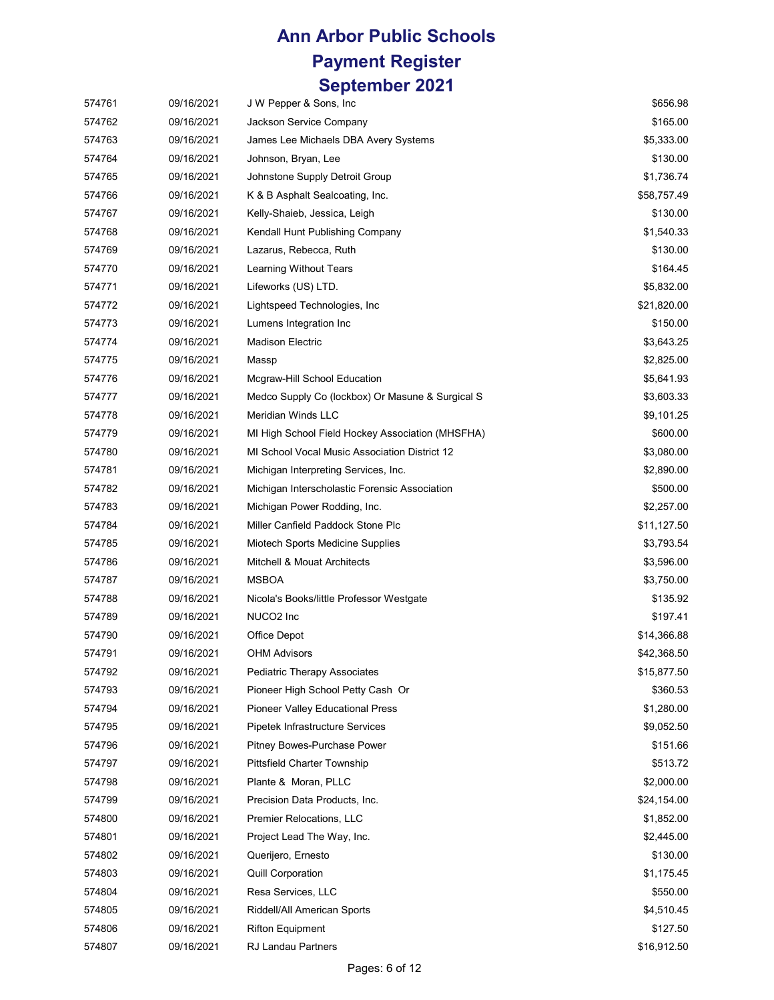| 574761 | 09/16/2021 | J W Pepper & Sons, Inc.                          | \$656.98    |
|--------|------------|--------------------------------------------------|-------------|
| 574762 | 09/16/2021 | Jackson Service Company                          | \$165.00    |
| 574763 | 09/16/2021 | James Lee Michaels DBA Avery Systems             | \$5,333.00  |
| 574764 | 09/16/2021 | Johnson, Bryan, Lee                              | \$130.00    |
| 574765 | 09/16/2021 | Johnstone Supply Detroit Group                   | \$1,736.74  |
| 574766 | 09/16/2021 | K & B Asphalt Sealcoating, Inc.                  | \$58,757.49 |
| 574767 | 09/16/2021 | Kelly-Shaieb, Jessica, Leigh                     | \$130.00    |
| 574768 | 09/16/2021 | Kendall Hunt Publishing Company                  | \$1,540.33  |
| 574769 | 09/16/2021 | Lazarus, Rebecca, Ruth                           | \$130.00    |
| 574770 | 09/16/2021 | Learning Without Tears                           | \$164.45    |
| 574771 | 09/16/2021 | Lifeworks (US) LTD.                              | \$5,832.00  |
| 574772 | 09/16/2021 | Lightspeed Technologies, Inc.                    | \$21,820.00 |
| 574773 | 09/16/2021 | Lumens Integration Inc                           | \$150.00    |
| 574774 | 09/16/2021 | <b>Madison Electric</b>                          | \$3,643.25  |
| 574775 | 09/16/2021 | Massp                                            | \$2,825.00  |
| 574776 | 09/16/2021 | Mcgraw-Hill School Education                     | \$5,641.93  |
| 574777 | 09/16/2021 | Medco Supply Co (lockbox) Or Masune & Surgical S | \$3,603.33  |
| 574778 | 09/16/2021 | Meridian Winds LLC                               | \$9,101.25  |
| 574779 | 09/16/2021 | MI High School Field Hockey Association (MHSFHA) | \$600.00    |
| 574780 | 09/16/2021 | MI School Vocal Music Association District 12    | \$3,080.00  |
| 574781 | 09/16/2021 | Michigan Interpreting Services, Inc.             | \$2,890.00  |
| 574782 | 09/16/2021 | Michigan Interscholastic Forensic Association    | \$500.00    |
| 574783 | 09/16/2021 | Michigan Power Rodding, Inc.                     | \$2,257.00  |
| 574784 | 09/16/2021 | Miller Canfield Paddock Stone Plc                | \$11,127.50 |
| 574785 | 09/16/2021 | Miotech Sports Medicine Supplies                 | \$3,793.54  |
| 574786 | 09/16/2021 | Mitchell & Mouat Architects                      | \$3,596.00  |
| 574787 | 09/16/2021 | <b>MSBOA</b>                                     | \$3,750.00  |
| 574788 | 09/16/2021 | Nicola's Books/little Professor Westgate         | \$135.92    |
| 574789 | 09/16/2021 | NUCO <sub>2</sub> Inc                            | \$197.41    |
| 574790 | 09/16/2021 | Office Depot                                     | \$14,366.88 |
| 574791 | 09/16/2021 | <b>OHM Advisors</b>                              | \$42,368.50 |
| 574792 | 09/16/2021 | Pediatric Therapy Associates                     | \$15,877.50 |
| 574793 | 09/16/2021 | Pioneer High School Petty Cash Or                | \$360.53    |
| 574794 | 09/16/2021 | Pioneer Valley Educational Press                 | \$1,280.00  |
| 574795 | 09/16/2021 | Pipetek Infrastructure Services                  | \$9,052.50  |
| 574796 | 09/16/2021 | Pitney Bowes-Purchase Power                      | \$151.66    |
| 574797 | 09/16/2021 | <b>Pittsfield Charter Township</b>               | \$513.72    |
| 574798 | 09/16/2021 | Plante & Moran, PLLC                             | \$2,000.00  |
| 574799 | 09/16/2021 | Precision Data Products, Inc.                    | \$24,154.00 |
| 574800 | 09/16/2021 | Premier Relocations, LLC                         | \$1,852.00  |
| 574801 | 09/16/2021 | Project Lead The Way, Inc.                       | \$2,445.00  |
| 574802 | 09/16/2021 | Querijero, Ernesto                               | \$130.00    |
| 574803 | 09/16/2021 | <b>Quill Corporation</b>                         | \$1,175.45  |
| 574804 | 09/16/2021 | Resa Services, LLC                               | \$550.00    |
| 574805 | 09/16/2021 | Riddell/All American Sports                      | \$4,510.45  |
| 574806 | 09/16/2021 | <b>Rifton Equipment</b>                          | \$127.50    |
| 574807 | 09/16/2021 | RJ Landau Partners                               | \$16,912.50 |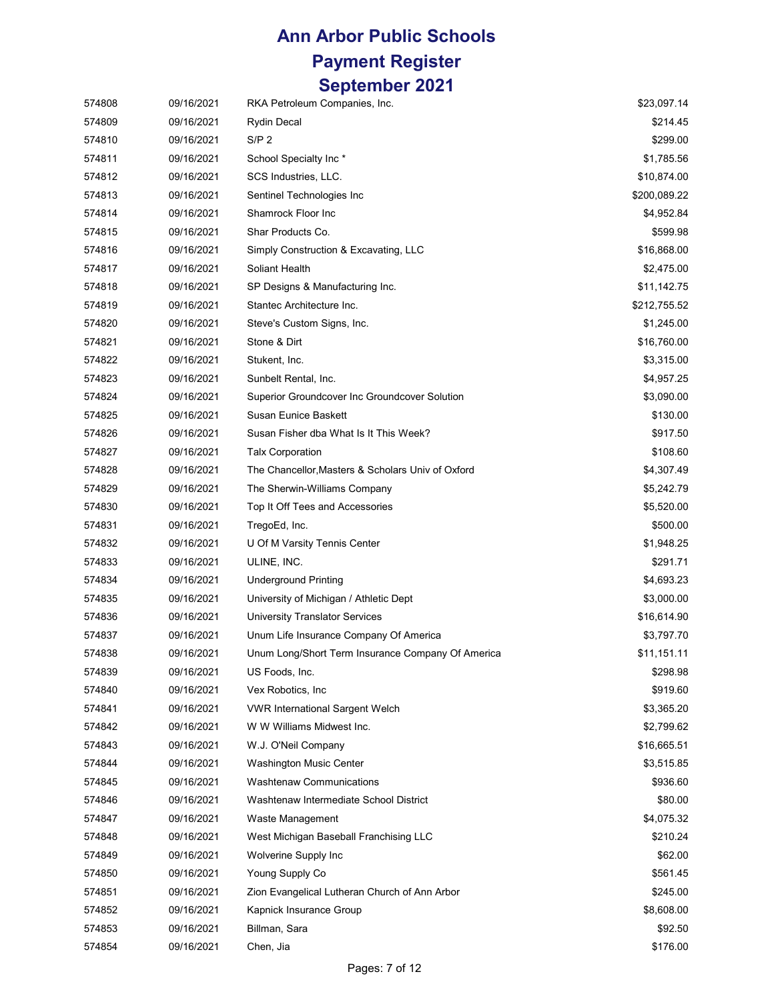| 574808 | 09/16/2021 | RKA Petroleum Companies, Inc.                     | \$23,097.14  |
|--------|------------|---------------------------------------------------|--------------|
| 574809 | 09/16/2021 | <b>Rydin Decal</b>                                | \$214.45     |
| 574810 | 09/16/2021 | S/P <sub>2</sub>                                  | \$299.00     |
| 574811 | 09/16/2021 | School Specialty Inc*                             | \$1,785.56   |
| 574812 | 09/16/2021 | SCS Industries, LLC.                              | \$10,874.00  |
| 574813 | 09/16/2021 | Sentinel Technologies Inc                         | \$200,089.22 |
| 574814 | 09/16/2021 | Shamrock Floor Inc                                | \$4,952.84   |
| 574815 | 09/16/2021 | Shar Products Co.                                 | \$599.98     |
| 574816 | 09/16/2021 | Simply Construction & Excavating, LLC             | \$16,868.00  |
| 574817 | 09/16/2021 | Soliant Health                                    | \$2,475.00   |
| 574818 | 09/16/2021 | SP Designs & Manufacturing Inc.                   | \$11,142.75  |
| 574819 | 09/16/2021 | Stantec Architecture Inc.                         | \$212,755.52 |
| 574820 | 09/16/2021 | Steve's Custom Signs, Inc.                        | \$1,245.00   |
| 574821 | 09/16/2021 | Stone & Dirt                                      | \$16,760.00  |
| 574822 | 09/16/2021 | Stukent, Inc.                                     | \$3,315.00   |
| 574823 | 09/16/2021 | Sunbelt Rental, Inc.                              | \$4,957.25   |
| 574824 | 09/16/2021 | Superior Groundcover Inc Groundcover Solution     | \$3,090.00   |
| 574825 | 09/16/2021 | <b>Susan Eunice Baskett</b>                       | \$130.00     |
| 574826 | 09/16/2021 | Susan Fisher dba What Is It This Week?            | \$917.50     |
| 574827 | 09/16/2021 | <b>Talx Corporation</b>                           | \$108.60     |
| 574828 | 09/16/2021 | The Chancellor, Masters & Scholars Univ of Oxford | \$4,307.49   |
| 574829 | 09/16/2021 | The Sherwin-Williams Company                      | \$5,242.79   |
| 574830 | 09/16/2021 | Top It Off Tees and Accessories                   | \$5,520.00   |
| 574831 | 09/16/2021 | TregoEd, Inc.                                     | \$500.00     |
| 574832 | 09/16/2021 | U Of M Varsity Tennis Center                      | \$1,948.25   |
| 574833 | 09/16/2021 | ULINE, INC.                                       | \$291.71     |
| 574834 | 09/16/2021 | <b>Underground Printing</b>                       | \$4,693.23   |
| 574835 | 09/16/2021 | University of Michigan / Athletic Dept            | \$3,000.00   |
| 574836 | 09/16/2021 | <b>University Translator Services</b>             | \$16,614.90  |
| 574837 | 09/16/2021 | Unum Life Insurance Company Of America            | \$3,797.70   |
| 574838 | 09/16/2021 | Unum Long/Short Term Insurance Company Of America | \$11,151.11  |
| 574839 | 09/16/2021 | US Foods, Inc.                                    | \$298.98     |
| 574840 | 09/16/2021 | Vex Robotics, Inc.                                | \$919.60     |
| 574841 | 09/16/2021 | <b>VWR International Sargent Welch</b>            | \$3,365.20   |
| 574842 | 09/16/2021 | W W Williams Midwest Inc.                         | \$2,799.62   |
| 574843 | 09/16/2021 | W.J. O'Neil Company                               | \$16,665.51  |
| 574844 | 09/16/2021 | Washington Music Center                           | \$3,515.85   |
| 574845 | 09/16/2021 | <b>Washtenaw Communications</b>                   | \$936.60     |
| 574846 | 09/16/2021 | Washtenaw Intermediate School District            | \$80.00      |
| 574847 | 09/16/2021 | Waste Management                                  | \$4,075.32   |
| 574848 | 09/16/2021 | West Michigan Baseball Franchising LLC            | \$210.24     |
| 574849 | 09/16/2021 | Wolverine Supply Inc.                             | \$62.00      |
| 574850 | 09/16/2021 | Young Supply Co                                   | \$561.45     |
| 574851 | 09/16/2021 | Zion Evangelical Lutheran Church of Ann Arbor     | \$245.00     |
| 574852 | 09/16/2021 | Kapnick Insurance Group                           | \$8,608.00   |
| 574853 | 09/16/2021 | Billman, Sara                                     | \$92.50      |
| 574854 | 09/16/2021 | Chen, Jia                                         | \$176.00     |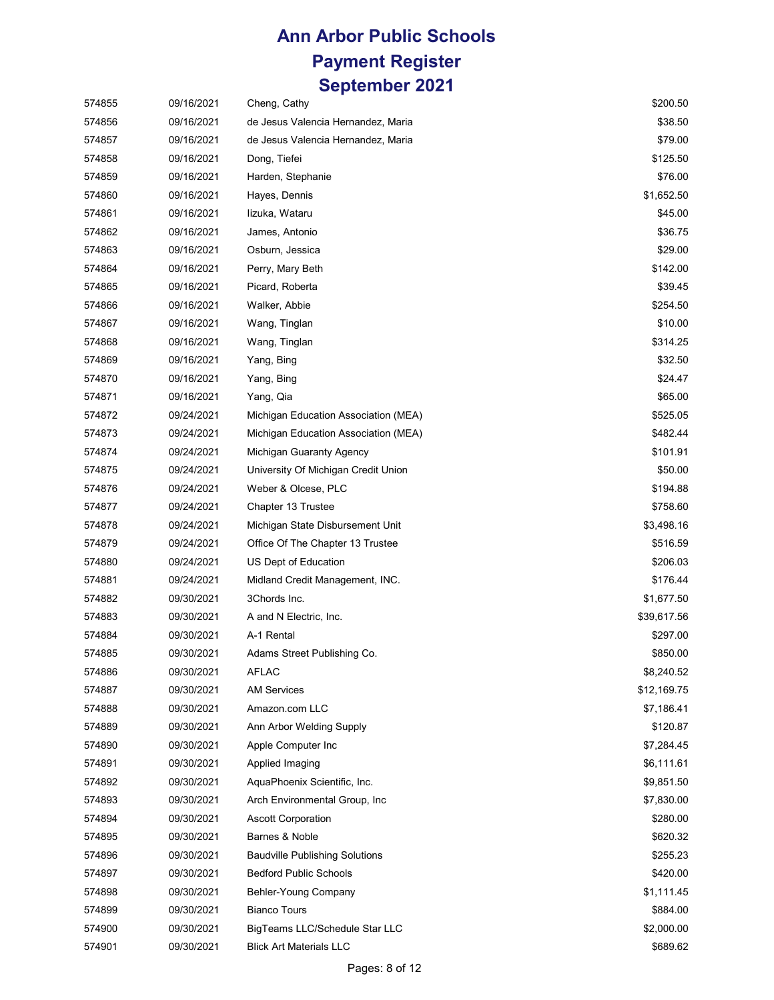| 574855 | 09/16/2021 | Cheng, Cathy                          | \$200.50    |
|--------|------------|---------------------------------------|-------------|
| 574856 | 09/16/2021 | de Jesus Valencia Hernandez, Maria    | \$38.50     |
| 574857 | 09/16/2021 | de Jesus Valencia Hernandez, Maria    | \$79.00     |
| 574858 | 09/16/2021 | Dong, Tiefei                          | \$125.50    |
| 574859 | 09/16/2021 | Harden, Stephanie                     | \$76.00     |
| 574860 | 09/16/2021 | Hayes, Dennis                         | \$1,652.50  |
| 574861 | 09/16/2021 | lizuka, Wataru                        | \$45.00     |
| 574862 | 09/16/2021 | James, Antonio                        | \$36.75     |
| 574863 | 09/16/2021 | Osburn, Jessica                       | \$29.00     |
| 574864 | 09/16/2021 | Perry, Mary Beth                      | \$142.00    |
| 574865 | 09/16/2021 | Picard, Roberta                       | \$39.45     |
| 574866 | 09/16/2021 | Walker, Abbie                         | \$254.50    |
| 574867 | 09/16/2021 | Wang, Tinglan                         | \$10.00     |
| 574868 | 09/16/2021 | Wang, Tinglan                         | \$314.25    |
| 574869 | 09/16/2021 | Yang, Bing                            | \$32.50     |
| 574870 | 09/16/2021 | Yang, Bing                            | \$24.47     |
| 574871 | 09/16/2021 | Yang, Qia                             | \$65.00     |
| 574872 | 09/24/2021 | Michigan Education Association (MEA)  | \$525.05    |
| 574873 | 09/24/2021 | Michigan Education Association (MEA)  | \$482.44    |
| 574874 | 09/24/2021 | Michigan Guaranty Agency              | \$101.91    |
| 574875 | 09/24/2021 | University Of Michigan Credit Union   | \$50.00     |
| 574876 | 09/24/2021 | Weber & Olcese, PLC                   | \$194.88    |
| 574877 | 09/24/2021 | Chapter 13 Trustee                    | \$758.60    |
| 574878 | 09/24/2021 | Michigan State Disbursement Unit      | \$3,498.16  |
| 574879 | 09/24/2021 | Office Of The Chapter 13 Trustee      | \$516.59    |
| 574880 | 09/24/2021 | US Dept of Education                  | \$206.03    |
| 574881 | 09/24/2021 | Midland Credit Management, INC.       | \$176.44    |
| 574882 | 09/30/2021 | 3Chords Inc.                          | \$1,677.50  |
| 574883 | 09/30/2021 | A and N Electric, Inc.                | \$39,617.56 |
| 574884 | 09/30/2021 | A-1 Rental                            | \$297.00    |
| 574885 | 09/30/2021 | Adams Street Publishing Co.           | \$850.00    |
| 574886 | 09/30/2021 | <b>AFLAC</b>                          | \$8,240.52  |
| 574887 | 09/30/2021 | <b>AM Services</b>                    | \$12,169.75 |
| 574888 | 09/30/2021 | Amazon.com LLC                        | \$7,186.41  |
| 574889 | 09/30/2021 | Ann Arbor Welding Supply              | \$120.87    |
| 574890 | 09/30/2021 | Apple Computer Inc                    | \$7,284.45  |
| 574891 | 09/30/2021 | Applied Imaging                       | \$6,111.61  |
| 574892 | 09/30/2021 | AquaPhoenix Scientific, Inc.          | \$9,851.50  |
| 574893 | 09/30/2021 | Arch Environmental Group, Inc.        | \$7,830.00  |
| 574894 | 09/30/2021 | <b>Ascott Corporation</b>             | \$280.00    |
| 574895 | 09/30/2021 | Barnes & Noble                        | \$620.32    |
| 574896 | 09/30/2021 | <b>Baudville Publishing Solutions</b> | \$255.23    |
| 574897 | 09/30/2021 | <b>Bedford Public Schools</b>         | \$420.00    |
| 574898 | 09/30/2021 | Behler-Young Company                  | \$1,111.45  |
| 574899 | 09/30/2021 | <b>Bianco Tours</b>                   | \$884.00    |
| 574900 | 09/30/2021 | BigTeams LLC/Schedule Star LLC        | \$2,000.00  |
| 574901 | 09/30/2021 | <b>Blick Art Materials LLC</b>        | \$689.62    |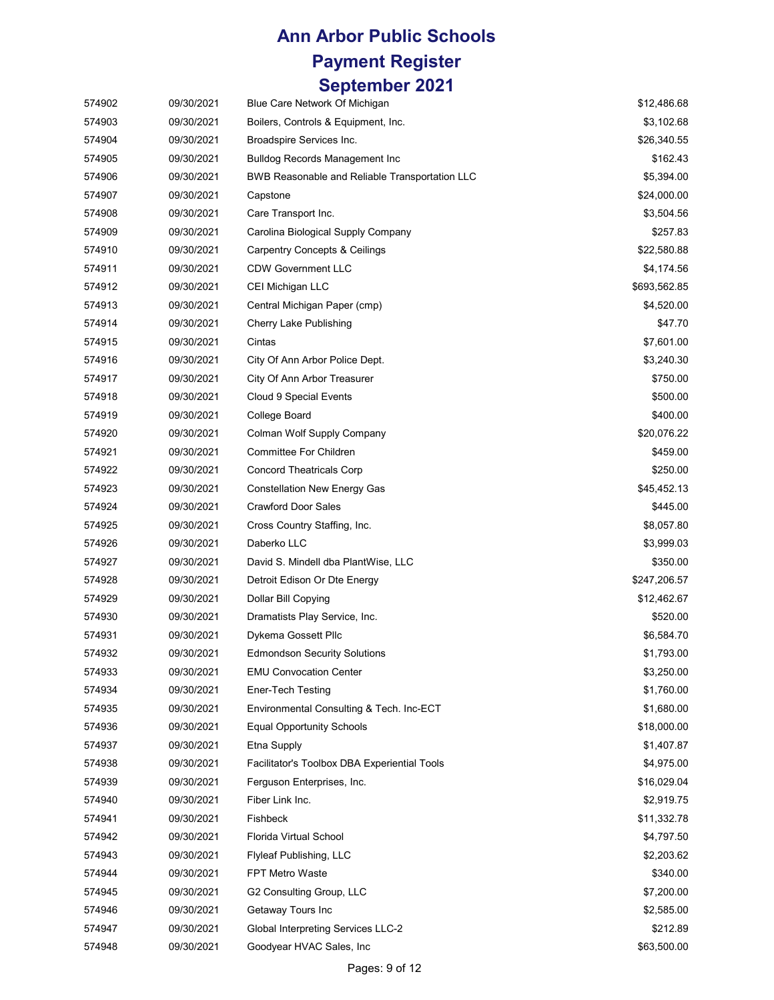# **Ann Arbor Public Schools**

#### **Payment Register September 2021**

| 574902 | 09/30/2021 | Blue Care Network Of Michigan                  | \$12,486.68  |
|--------|------------|------------------------------------------------|--------------|
| 574903 | 09/30/2021 | Boilers, Controls & Equipment, Inc.            | \$3,102.68   |
| 574904 | 09/30/2021 | Broadspire Services Inc.                       | \$26,340.55  |
| 574905 | 09/30/2021 | <b>Bulldog Records Management Inc</b>          | \$162.43     |
| 574906 | 09/30/2021 | BWB Reasonable and Reliable Transportation LLC | \$5,394.00   |
| 574907 | 09/30/2021 | Capstone                                       | \$24,000.00  |
| 574908 | 09/30/2021 | Care Transport Inc.                            | \$3,504.56   |
| 574909 | 09/30/2021 | Carolina Biological Supply Company             | \$257.83     |
| 574910 | 09/30/2021 | <b>Carpentry Concepts &amp; Ceilings</b>       | \$22,580.88  |
| 574911 | 09/30/2021 | <b>CDW Government LLC</b>                      | \$4,174.56   |
| 574912 | 09/30/2021 | CEI Michigan LLC                               | \$693,562.85 |
| 574913 | 09/30/2021 | Central Michigan Paper (cmp)                   | \$4,520.00   |
| 574914 | 09/30/2021 | Cherry Lake Publishing                         | \$47.70      |
| 574915 | 09/30/2021 | Cintas                                         | \$7,601.00   |
| 574916 | 09/30/2021 | City Of Ann Arbor Police Dept.                 | \$3,240.30   |
| 574917 | 09/30/2021 | City Of Ann Arbor Treasurer                    | \$750.00     |
| 574918 | 09/30/2021 | Cloud 9 Special Events                         | \$500.00     |
| 574919 | 09/30/2021 | College Board                                  | \$400.00     |
| 574920 | 09/30/2021 | Colman Wolf Supply Company                     | \$20,076.22  |
| 574921 | 09/30/2021 | Committee For Children                         | \$459.00     |
| 574922 | 09/30/2021 | <b>Concord Theatricals Corp</b>                | \$250.00     |
| 574923 | 09/30/2021 | <b>Constellation New Energy Gas</b>            | \$45,452.13  |
| 574924 | 09/30/2021 | <b>Crawford Door Sales</b>                     | \$445.00     |
| 574925 | 09/30/2021 | Cross Country Staffing, Inc.                   | \$8,057.80   |
| 574926 | 09/30/2021 | Daberko LLC                                    | \$3,999.03   |
| 574927 | 09/30/2021 | David S. Mindell dba PlantWise, LLC            | \$350.00     |
| 574928 | 09/30/2021 | Detroit Edison Or Dte Energy                   | \$247,206.57 |
| 574929 | 09/30/2021 | Dollar Bill Copying                            | \$12,462.67  |
| 574930 | 09/30/2021 | Dramatists Play Service, Inc.                  | \$520.00     |
| 574931 | 09/30/2021 | Dykema Gossett Pllc                            | \$6,584.70   |
| 574932 | 09/30/2021 | <b>Edmondson Security Solutions</b>            | \$1,793.00   |
| 574933 | 09/30/2021 | <b>EMU Convocation Center</b>                  | \$3,250.00   |
| 574934 | 09/30/2021 | Ener-Tech Testing                              | \$1,760.00   |
| 574935 | 09/30/2021 | Environmental Consulting & Tech. Inc-ECT       | \$1,680.00   |
| 574936 | 09/30/2021 | <b>Equal Opportunity Schools</b>               | \$18,000.00  |
| 574937 | 09/30/2021 | Etna Supply                                    | \$1,407.87   |
| 574938 | 09/30/2021 | Facilitator's Toolbox DBA Experiential Tools   | \$4,975.00   |
| 574939 | 09/30/2021 | Ferguson Enterprises, Inc.                     | \$16,029.04  |
| 574940 | 09/30/2021 | Fiber Link Inc.                                | \$2,919.75   |
| 574941 | 09/30/2021 | Fishbeck                                       | \$11,332.78  |
| 574942 | 09/30/2021 | Florida Virtual School                         | \$4,797.50   |
| 574943 | 09/30/2021 | Flyleaf Publishing, LLC                        | \$2,203.62   |
| 574944 | 09/30/2021 | <b>FPT Metro Waste</b>                         | \$340.00     |
| 574945 | 09/30/2021 | G2 Consulting Group, LLC                       | \$7,200.00   |
| 574946 | 09/30/2021 | Getaway Tours Inc                              | \$2,585.00   |
| 574947 | 09/30/2021 | Global Interpreting Services LLC-2             | \$212.89     |
| 574948 | 09/30/2021 | Goodyear HVAC Sales, Inc                       | \$63,500.00  |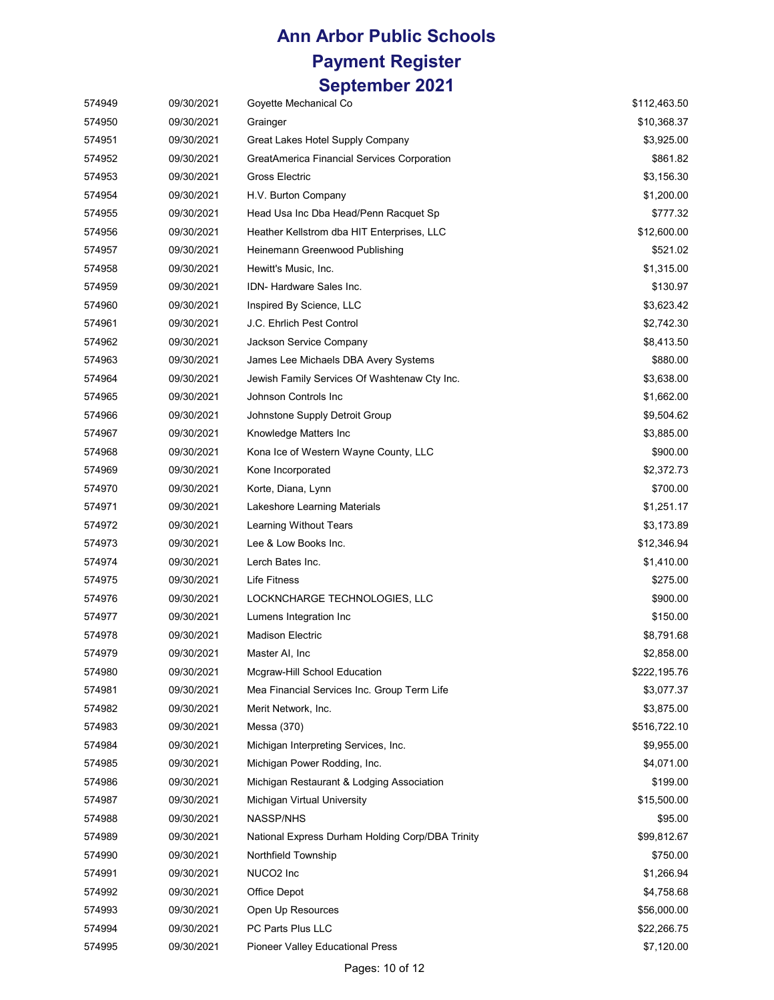| 574949 | 09/30/2021 | Goyette Mechanical Co                            | \$112,463.50 |
|--------|------------|--------------------------------------------------|--------------|
| 574950 | 09/30/2021 | Grainger                                         | \$10,368.37  |
| 574951 | 09/30/2021 | Great Lakes Hotel Supply Company                 | \$3,925.00   |
| 574952 | 09/30/2021 | GreatAmerica Financial Services Corporation      | \$861.82     |
| 574953 | 09/30/2021 | Gross Electric                                   | \$3,156.30   |
| 574954 | 09/30/2021 | H.V. Burton Company                              | \$1,200.00   |
| 574955 | 09/30/2021 | Head Usa Inc Dba Head/Penn Racquet Sp            | \$777.32     |
| 574956 | 09/30/2021 | Heather Kellstrom dba HIT Enterprises, LLC       | \$12,600.00  |
| 574957 | 09/30/2021 | Heinemann Greenwood Publishing                   | \$521.02     |
| 574958 | 09/30/2021 | Hewitt's Music, Inc.                             | \$1,315.00   |
| 574959 | 09/30/2021 | IDN- Hardware Sales Inc.                         | \$130.97     |
| 574960 | 09/30/2021 | Inspired By Science, LLC                         | \$3,623.42   |
| 574961 | 09/30/2021 | J.C. Ehrlich Pest Control                        | \$2,742.30   |
| 574962 | 09/30/2021 | Jackson Service Company                          | \$8,413.50   |
| 574963 | 09/30/2021 | James Lee Michaels DBA Avery Systems             | \$880.00     |
| 574964 | 09/30/2021 | Jewish Family Services Of Washtenaw Cty Inc.     | \$3,638.00   |
| 574965 | 09/30/2021 | Johnson Controls Inc                             | \$1,662.00   |
| 574966 | 09/30/2021 | Johnstone Supply Detroit Group                   | \$9,504.62   |
| 574967 | 09/30/2021 | Knowledge Matters Inc                            | \$3,885.00   |
| 574968 | 09/30/2021 | Kona Ice of Western Wayne County, LLC            | \$900.00     |
| 574969 | 09/30/2021 | Kone Incorporated                                | \$2,372.73   |
| 574970 | 09/30/2021 | Korte, Diana, Lynn                               | \$700.00     |
| 574971 | 09/30/2021 | Lakeshore Learning Materials                     | \$1,251.17   |
| 574972 | 09/30/2021 | Learning Without Tears                           | \$3,173.89   |
| 574973 | 09/30/2021 | Lee & Low Books Inc.                             | \$12,346.94  |
| 574974 | 09/30/2021 | Lerch Bates Inc.                                 | \$1,410.00   |
| 574975 | 09/30/2021 | <b>Life Fitness</b>                              | \$275.00     |
| 574976 | 09/30/2021 | LOCKNCHARGE TECHNOLOGIES, LLC                    | \$900.00     |
| 574977 | 09/30/2021 | Lumens Integration Inc                           | \$150.00     |
| 574978 | 09/30/2021 | <b>Madison Electric</b>                          | \$8,791.68   |
| 574979 | 09/30/2021 | Master AI, Inc                                   | \$2,858.00   |
| 574980 | 09/30/2021 | Mcgraw-Hill School Education                     | \$222,195.76 |
| 574981 | 09/30/2021 | Mea Financial Services Inc. Group Term Life      | \$3,077.37   |
| 574982 | 09/30/2021 | Merit Network, Inc.                              | \$3,875.00   |
| 574983 | 09/30/2021 | Messa (370)                                      | \$516,722.10 |
| 574984 | 09/30/2021 | Michigan Interpreting Services, Inc.             | \$9,955.00   |
| 574985 | 09/30/2021 | Michigan Power Rodding, Inc.                     | \$4,071.00   |
| 574986 | 09/30/2021 | Michigan Restaurant & Lodging Association        | \$199.00     |
| 574987 | 09/30/2021 | Michigan Virtual University                      | \$15,500.00  |
| 574988 | 09/30/2021 | NASSP/NHS                                        | \$95.00      |
| 574989 | 09/30/2021 | National Express Durham Holding Corp/DBA Trinity | \$99,812.67  |
| 574990 | 09/30/2021 | Northfield Township                              | \$750.00     |
| 574991 | 09/30/2021 | NUCO2 Inc                                        | \$1,266.94   |
| 574992 | 09/30/2021 | Office Depot                                     | \$4,758.68   |
| 574993 | 09/30/2021 | Open Up Resources                                | \$56,000.00  |
| 574994 | 09/30/2021 | PC Parts Plus LLC                                | \$22,266.75  |
| 574995 | 09/30/2021 | <b>Pioneer Valley Educational Press</b>          | \$7,120.00   |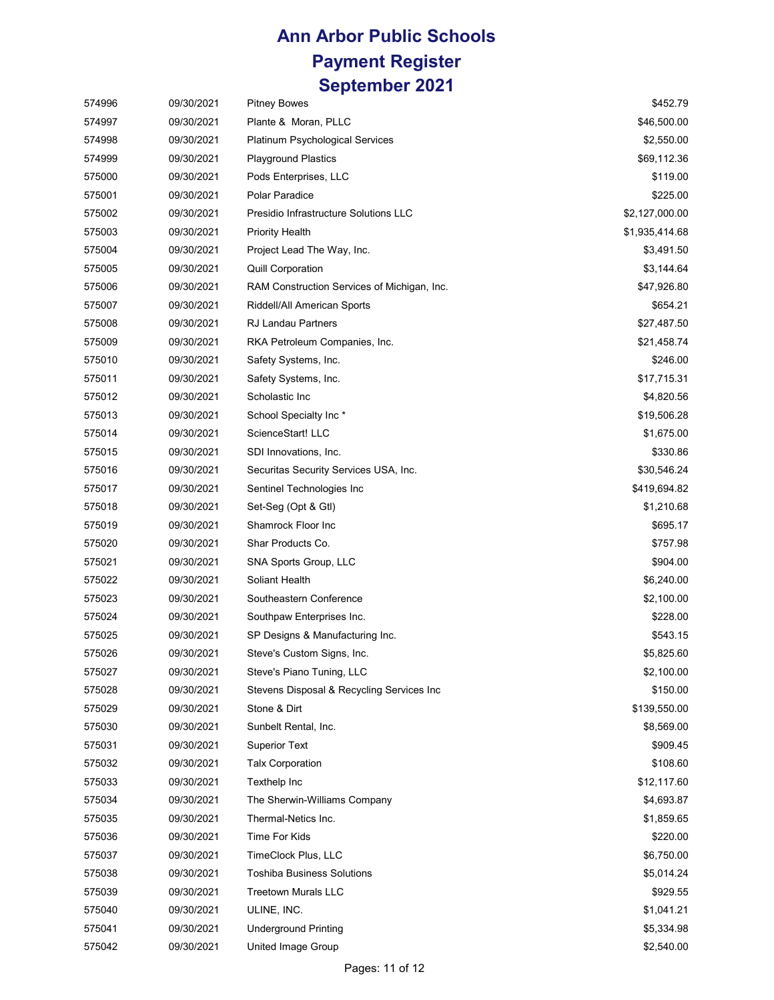| 574996 | 09/30/2021 | <b>Pitney Bowes</b>                         | \$452.79       |
|--------|------------|---------------------------------------------|----------------|
| 574997 | 09/30/2021 | Plante & Moran, PLLC                        | \$46,500.00    |
| 574998 | 09/30/2021 | <b>Platinum Psychological Services</b>      | \$2,550.00     |
| 574999 | 09/30/2021 | <b>Playground Plastics</b>                  | \$69,112.36    |
| 575000 | 09/30/2021 | Pods Enterprises, LLC                       | \$119.00       |
| 575001 | 09/30/2021 | Polar Paradice                              | \$225.00       |
| 575002 | 09/30/2021 | Presidio Infrastructure Solutions LLC       | \$2,127,000.00 |
| 575003 | 09/30/2021 | <b>Priority Health</b>                      | \$1,935,414.68 |
| 575004 | 09/30/2021 | Project Lead The Way, Inc.                  | \$3,491.50     |
| 575005 | 09/30/2021 | <b>Quill Corporation</b>                    | \$3,144.64     |
| 575006 | 09/30/2021 | RAM Construction Services of Michigan, Inc. | \$47,926.80    |
| 575007 | 09/30/2021 | Riddell/All American Sports                 | \$654.21       |
| 575008 | 09/30/2021 | <b>RJ Landau Partners</b>                   | \$27,487.50    |
| 575009 | 09/30/2021 | RKA Petroleum Companies, Inc.               | \$21,458.74    |
| 575010 | 09/30/2021 | Safety Systems, Inc.                        | \$246.00       |
| 575011 | 09/30/2021 | Safety Systems, Inc.                        | \$17,715.31    |
| 575012 | 09/30/2021 | Scholastic Inc                              | \$4,820.56     |
| 575013 | 09/30/2021 | School Specialty Inc*                       | \$19,506.28    |
| 575014 | 09/30/2021 | ScienceStart! LLC                           | \$1,675.00     |
| 575015 | 09/30/2021 | SDI Innovations, Inc.                       | \$330.86       |
| 575016 | 09/30/2021 | Securitas Security Services USA, Inc.       | \$30,546.24    |
| 575017 | 09/30/2021 | Sentinel Technologies Inc                   | \$419,694.82   |
| 575018 | 09/30/2021 | Set-Seg (Opt & Gtl)                         | \$1,210.68     |
| 575019 | 09/30/2021 | Shamrock Floor Inc                          | \$695.17       |
| 575020 | 09/30/2021 | Shar Products Co.                           | \$757.98       |
| 575021 | 09/30/2021 | SNA Sports Group, LLC                       | \$904.00       |
| 575022 | 09/30/2021 | Soliant Health                              | \$6,240.00     |
| 575023 | 09/30/2021 | Southeastern Conference                     | \$2,100.00     |
| 575024 | 09/30/2021 | Southpaw Enterprises Inc.                   | \$228.00       |
| 575025 | 09/30/2021 | SP Designs & Manufacturing Inc.             | \$543.15       |
| 575026 | 09/30/2021 | Steve's Custom Signs, Inc.                  | \$5,825.60     |
| 575027 | 09/30/2021 | Steve's Piano Tuning, LLC                   | \$2,100.00     |
| 575028 | 09/30/2021 | Stevens Disposal & Recycling Services Inc   | \$150.00       |
| 575029 | 09/30/2021 | Stone & Dirt                                | \$139,550.00   |
| 575030 | 09/30/2021 | Sunbelt Rental, Inc.                        | \$8,569.00     |
| 575031 | 09/30/2021 | <b>Superior Text</b>                        | \$909.45       |
| 575032 | 09/30/2021 | <b>Talx Corporation</b>                     | \$108.60       |
| 575033 | 09/30/2021 | Texthelp Inc                                | \$12,117.60    |
| 575034 | 09/30/2021 | The Sherwin-Williams Company                | \$4,693.87     |
| 575035 | 09/30/2021 | Thermal-Netics Inc.                         | \$1,859.65     |
| 575036 | 09/30/2021 | Time For Kids                               | \$220.00       |
| 575037 | 09/30/2021 | TimeClock Plus, LLC                         | \$6,750.00     |
| 575038 | 09/30/2021 | <b>Toshiba Business Solutions</b>           | \$5,014.24     |
| 575039 | 09/30/2021 | <b>Treetown Murals LLC</b>                  | \$929.55       |
| 575040 | 09/30/2021 | ULINE, INC.                                 | \$1,041.21     |
| 575041 | 09/30/2021 | <b>Underground Printing</b>                 | \$5,334.98     |
| 575042 | 09/30/2021 | United Image Group                          | \$2,540.00     |